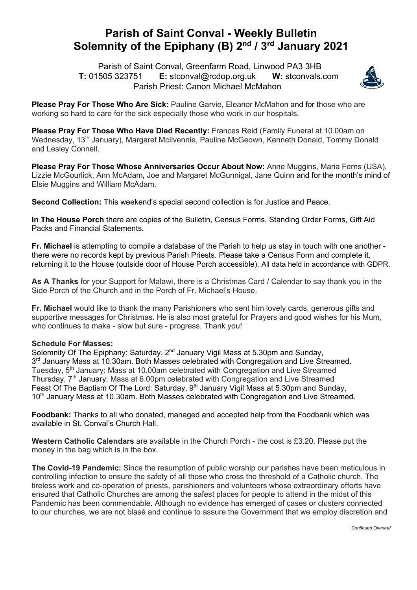## **Parish of Saint Conval - Weekly Bulletin Solemnity of the Epiphany (B) 2nd / 3rd January 2021**

 Parish of Saint Conval, Greenfarm Road, Linwood PA3 3HB **T:** 01505 323751 **E:** stconval@rcdop.org.uk **W:** stconvals.com Parish Priest: Canon Michael McMahon



**Please Pray For Those Who Are Sick:** Pauline Garvie, Eleanor McMahon and for those who are working so hard to care for the sick especially those who work in our hospitals.

**Please Pray For Those Who Have Died Recently:** Frances Reid (Family Funeral at 10.00am on Wednesday, 13<sup>th</sup> January), Margaret McIlvennie, Pauline McGeown, Kenneth Donald, Tommy Donald and Lesley Connell.

**Please Pray For Those Whose Anniversaries Occur About Now:** Anne Muggins, Maria Ferns (USA), Lizzie McGourlick, Ann McAdam**,** Joe and Margaret McGunnigal, Jane Quinn and for the month's mind of Elsie Muggins and William McAdam.

**Second Collection:** This weekend's special second collection is for Justice and Peace.

**In The House Porch** there are copies of the Bulletin, Census Forms, Standing Order Forms, Gift Aid Packs and Financial Statements.

**Fr. Michael** is attempting to compile a database of the Parish to help us stay in touch with one another there were no records kept by previous Parish Priests. Please take a Census Form and complete it, returning it to the House (outside door of House Porch accessible). All data held in accordance with GDPR.

**As A Thanks** for your Support for Malawi, there is a Christmas Card / Calendar to say thank you in the Side Porch of the Church and in the Porch of Fr. Michael's House.

**Fr. Michael** would like to thank the many Parishioners who sent him lovely cards, generous gifts and supportive messages for Christmas. He is also most grateful for Prayers and good wishes for his Mum, who continues to make - slow but sure - progress. Thank you!

## **Schedule For Masses:**

Solemnity Of The Epiphany: Saturday, 2<sup>nd</sup> January Vigil Mass at 5,30pm and Sunday, 3<sup>rd</sup> January Mass at 10.30am. Both Masses celebrated with Congregation and Live Streamed. Tuesday, 5<sup>th</sup> January: Mass at 10.00am celebrated with Congregation and Live Streamed Thursday, 7<sup>th</sup> January: Mass at 6.00pm celebrated with Congregation and Live Streamed Feast Of The Baptism Of The Lord: Saturday, 9<sup>th</sup> January Vigil Mass at 5.30pm and Sunday, 10<sup>th</sup> January Mass at 10.30am. Both Masses celebrated with Congregation and Live Streamed.

**Foodbank:** Thanks to all who donated, managed and accepted help from the Foodbank which was available in St. Conval's Church Hall.

**Western Catholic Calendars** are available in the Church Porch - the cost is £3.20. Please put the money in the bag which is in the box.

**The Covid-19 Pandemic:** Since the resumption of public worship our parishes have been meticulous in controlling infection to ensure the safety of all those who cross the threshold of a Catholic church. The tireless work and co-operation of priests, parishioners and volunteers whose extraordinary efforts have ensured that Catholic Churches are among the safest places for people to attend in the midst of this Pandemic has been commendable. Although no evidence has emerged of cases or clusters connected to our churches, we are not blasé and continue to assure the Government that we employ discretion and